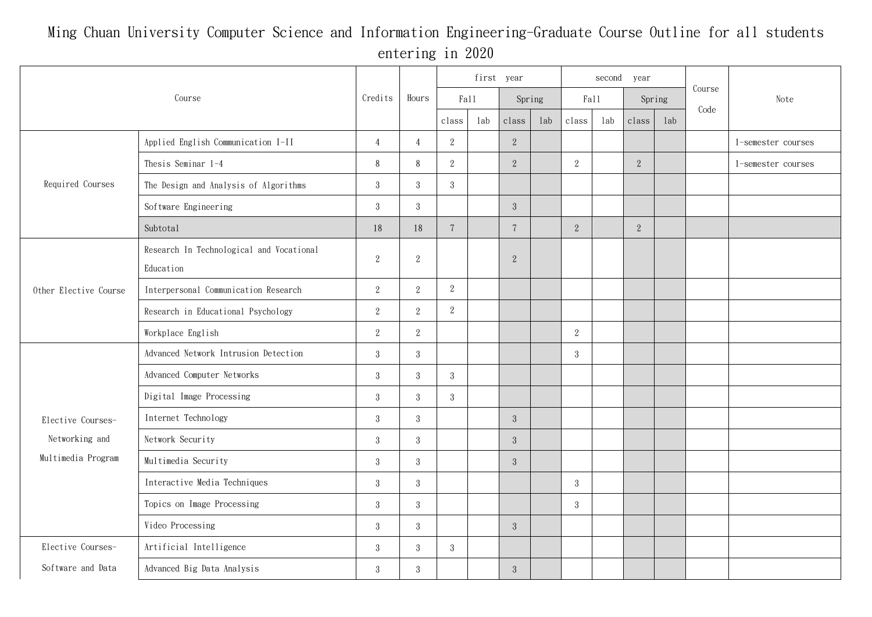## Ming Chuan University Computer Science and Information Engineering-Graduate Course Outline for all students entering in 2020

| Course                                                    |                                                       | Credits          | Hours          | first year     |     |                 |     |                | second year |            |     |        |                    |
|-----------------------------------------------------------|-------------------------------------------------------|------------------|----------------|----------------|-----|-----------------|-----|----------------|-------------|------------|-----|--------|--------------------|
|                                                           |                                                       |                  |                | Fall           |     | Spring          |     | Fall           |             | Spring     |     | Course | Note               |
|                                                           |                                                       |                  |                | class          | lab | class           | lab | class          | lab         | class      | lab | Code   |                    |
| Required Courses                                          | Applied English Communication I-II                    | $\overline{4}$   | $\overline{4}$ | $\sqrt{2}$     |     | $\overline{2}$  |     |                |             |            |     |        | 1-semester courses |
|                                                           | Thesis Seminar 1-4                                    | $8\,$            | $\,8\,$        | $\sqrt{2}$     |     | 2               |     | $\overline{2}$ |             | $\sqrt{2}$ |     |        | 1-semester courses |
|                                                           | The Design and Analysis of Algorithms                 | 3                | $\sqrt{3}$     | $\mathbf{3}$   |     |                 |     |                |             |            |     |        |                    |
|                                                           | Software Engineering                                  | $\mathbf{3}$     | $\mathbf{3}$   |                |     | $3\phantom{.0}$ |     |                |             |            |     |        |                    |
|                                                           | Subtotal                                              | 18               | 18             | $\overline{7}$ |     | $7\phantom{.0}$ |     | $\overline{2}$ |             | $\sqrt{2}$ |     |        |                    |
| Other Elective Course                                     | Research In Technological and Vocational<br>Education | $\,2$            | $\sqrt{2}$     |                |     | $\sqrt{2}$      |     |                |             |            |     |        |                    |
|                                                           | Interpersonal Communication Research                  | $\,2$            | $\mathbf{2}$   | $\sqrt{2}$     |     |                 |     |                |             |            |     |        |                    |
|                                                           | Research in Educational Psychology                    | $\overline{2}$   | $\mathbf{2}$   | $\,2$          |     |                 |     |                |             |            |     |        |                    |
|                                                           | Workplace English                                     | $\overline{2}$   | 2              |                |     |                 |     | 2              |             |            |     |        |                    |
| Elective Courses-<br>Networking and<br>Multimedia Program | Advanced Network Intrusion Detection                  | $\mathbf{3}$     | $\mathbf{3}$   |                |     |                 |     | $\mathbf{3}$   |             |            |     |        |                    |
|                                                           | Advanced Computer Networks                            | $\mathbf{3}$     | $\mathbf{3}$   | $\mathbf{3}$   |     |                 |     |                |             |            |     |        |                    |
|                                                           | Digital Image Processing                              | 3                | $\mathbf{3}$   | $\mathbf{3}$   |     |                 |     |                |             |            |     |        |                    |
|                                                           | Internet Technology                                   | $\boldsymbol{3}$ | 3              |                |     | $3\phantom{.0}$ |     |                |             |            |     |        |                    |
|                                                           | Network Security                                      | $\boldsymbol{3}$ | $\mathbf{3}$   |                |     | $3\phantom{.0}$ |     |                |             |            |     |        |                    |
|                                                           | Multimedia Security                                   | $\mathbf{3}$     | $\mathbf{3}$   |                |     | $3\phantom{.0}$ |     |                |             |            |     |        |                    |
|                                                           | Interactive Media Techniques                          | $\boldsymbol{3}$ | $\mathbf{3}$   |                |     |                 |     | $\mathbf{3}$   |             |            |     |        |                    |
|                                                           | Topics on Image Processing                            | $\mathbf{3}$     | $\mathbf{3}$   |                |     |                 |     | $\mathbf{3}$   |             |            |     |        |                    |
|                                                           | Video Processing                                      | $\mathbf{3}$     | $\mathbf{3}$   |                |     | $3\phantom{.0}$ |     |                |             |            |     |        |                    |
| Elective Courses-                                         | Artificial Intelligence                               | $\mathbf{3}$     | $\mathbf{3}$   | $\mathbf{3}$   |     |                 |     |                |             |            |     |        |                    |
| Software and Data                                         | Advanced Big Data Analysis                            | 3                | $\mathbf{3}$   |                |     | $3\phantom{.0}$ |     |                |             |            |     |        |                    |